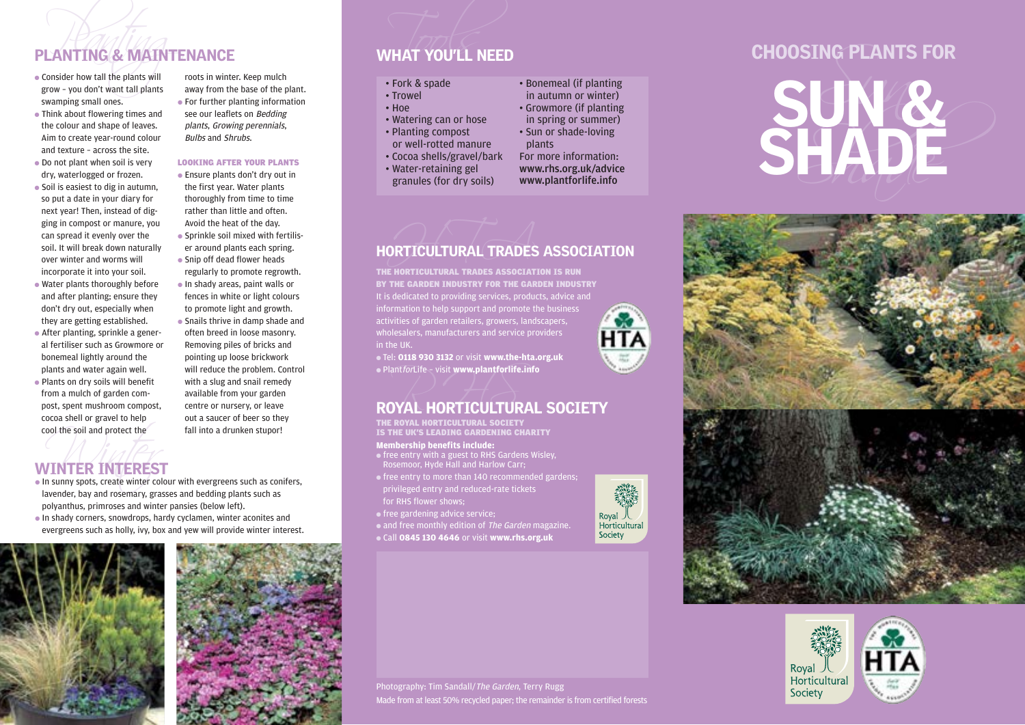## PLANTING & MAINTENANCE WHAT YOU'LL NEED

- 
- Think about flowering times and the colour and shape of leaves. Aim to create year-round colour and texture – across the site.
- Do not plant when soil is very dry, waterlogged or frozen.
- Soil is easiest to dig in autumn, so put a date in your diary for next year! Then, instead of digging in compost or manure, you can spread it evenly over the soil. It will break down naturally over winter and worms will incorporate it into your soil.
- Water plants thoroughly before and after planting; ensure they don't dry out, especially when they are getting established.
- After planting, sprinkle a general fertiliser such as Growmore or bonemeal lightly around the plants and water again well.
- Plants on dry soils will benefit from a mulch of garden compost, spent mushroom compost, cocoa shell or gravel to help cool the soil and protect the

PLANTING & MAINTENANCE<br>
• Consider how tall the plants will roots in winter. Keep mulch<br>
grow - you don't want tall plants away from the base of the plant.<br>
• Fork & spade<br>
• For further planting information<br>
• Fork & spad roots in winter. Keep mulch ● For further planting information see our leaflets on Bedding plants, Growing perennials,

## LOOKING AFTER YOUR PLANTS

- Ensure plants don't dry out in the first year. Water plants thoroughly from time to time rather than little and often. Avoid the heat of the day.
- Sprinkle soil mixed with fertiliser around plants each spring.
- regularly to promote regrowth. ● In shady areas, paint walls or fences in white or light colours
- Snails thrive in damp shade and often breed in loose masonry. Removing piles of bricks and pointing up loose brickwork will reduce the problem. Control with a slug and snail remedy available from your garden centre or nursery, or leave out a saucer of beer so they fall into a drunken stupor!

## ool the soil and protect the WINTER INTEREST

- $\bullet$  In sunny spots, create winter colour with evergreens such as conifers, lavender, bay and rosemary, grasses and bedding plants such as polyanthus, primroses and winter pansies (below left).
- In shady corners, snowdrops, hardy cyclamen, winter aconites and evergreens such as holly, ivy, box and yew will provide winter interest.



away from the base of the plant. Bulbs and Shrubs.

- 
- Snip off dead flower heads
- 
- to promote light and growth.

- 
- 
- 
- 
- -
- 
- 
- 
- 



THE HORTICULTURAL TRADES ASSOCIATION IS RUN BY THE GARDEN INDUSTRY FOR THE GARDEN INDUSTRY It is dedicated to providing services, products, advice and information to help support and promote the business **HTA** activities of garden retailers, growers, landscapers, wholesalers, manufacturers and service providers in the UK.

● Tel: **0118 930 3132** or visit **www.the-hta.org.uk** ● PlantforLife – visit **www.plantforlife.info**

# $\bullet$  Plant*for*Life – visit www.plantforlife.info<br>ROYAL HORTICULTURAL SOCIETY

THE ROYAL HORTICULTURAL SOCIETY<br>IS THE UK'S LEADING GARDENING CHARITY

## **Membership benefits include:**

- free entry with a guest to RHS Gardens Wisley, Rosemoor, Hyde Hall and Harlow Carr; ● free entry to more than 140 recommended gardens;
- privileged entry and reduced-rate tickets for RHS flower shows;
- **•** free gardening advice service;

• and free monthly edition of The Garden magazine.

● Call **0845 130 4646** or visit **www.rhs.org.uk**









Photography: Tim Sandall/The Garden, Terry Rugg Made from at least 50% recycled paper; the remainder is from certified forests